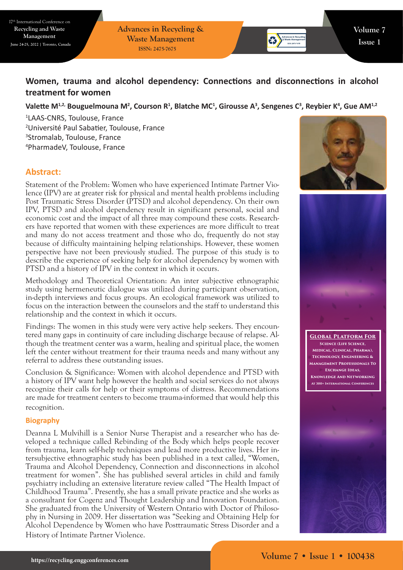17th International Conference on **Recycling and Waste Management June 24-25, 2022 | Toronto, Canada**

**Advances in Recycling & Waste Management ISSN: 2475-7675**

# **Women, trauma and alcohol dependency: Connections and disconnections in alcohol treatment for women**

Valette M<sup>1,2,</sup> Bouguelmouna M<sup>2</sup>, Courson R<sup>1</sup>, Blatche MC<sup>1</sup>, Girousse A<sup>3</sup>, Sengenes C<sup>3</sup>, Reybier K<sup>4</sup>, Gue AM<sup>1,2</sup>

 LAAS-CNRS, Toulouse, France Université Paul Sabatier, Toulouse, France Stromalab, Toulouse, France PharmadeV, Toulouse, France

## **Abstract:**

Statement of the Problem: Women who have experienced Intimate Partner Violence (IPV) are at greater risk for physical and mental health problems including Post Traumatic Stress Disorder (PTSD) and alcohol dependency. On their own IPV, PTSD and alcohol dependency result in significant personal, social and economic cost and the impact of all three may compound these costs. Researchers have reported that women with these experiences are more difficult to treat and many do not access treatment and those who do, frequently do not stay because of difficulty maintaining helping relationships. However, these women perspective have not been previously studied. The purpose of this study is to describe the experience of seeking help for alcohol dependency by women with PTSD and a history of IPV in the context in which it occurs.

Methodology and Theoretical Orientation: An inter subjective ethnographic study using hermeneutic dialogue was utilized during participant observation, in-depth interviews and focus groups. An ecological framework was utilized to focus on the interaction between the counselors and the staff to understand this relationship and the context in which it occurs.

Findings: The women in this study were very active help seekers. They encountered many gaps in continuity of care including discharge because of relapse. Although the treatment center was a warm, healing and spiritual place, the women left the center without treatment for their trauma needs and many without any referral to address these outstanding issues.

Conclusion & Significance: Women with alcohol dependence and PTSD with a history of IPV want help however the health and social services do not always recognize their calls for help or their symptoms of distress. Recommendations are made for treatment centers to become trauma-informed that would help this recognition.

## **Biography**

Deanna L Mulvihill is a Senior Nurse Therapist and a researcher who has developed a technique called Rebinding of the Body which helps people recover from trauma, learn self-help techniques and lead more productive lives. Her intersubjective ethnographic study has been published in a text called, "Women, Trauma and Alcohol Dependency, Connection and disconnections in alcohol treatment for women". She has published several articles in child and family psychiatry including an extensive literature review called "The Health Impact of Childhood Trauma". Presently, she has a small private practice and she works as a consultant for Cogenz and Thought Leadership and Innovation Foundation. She graduated from the University of Western Ontario with Doctor of Philosophy in Nursing in 2009. Her dissertation was "Seeking and Obtaining Help for Alcohol Dependence by Women who have Posttraumatic Stress Disorder and a History of Intimate Partner Violence.





**Global Platform For Science (Life Science, Medical, Clinical, Pharma), Technology, Engineering & Management Professionals To Exchange Ideas, Knowledge And Networking At 300+ International Conferences**